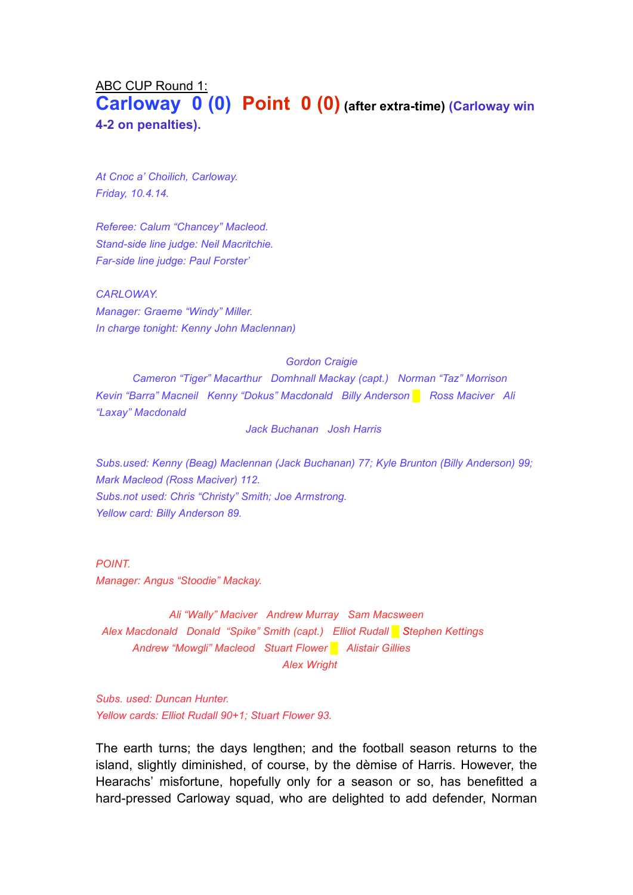# ABC CUP Round 1: **Carloway 0 (0) Point 0 (0) (after extra-time) (Carloway win 4-2 on penalties).**

*At Cnoc a' Choilich, Carloway. Friday, 10.4.14.*

*Referee: Calum "Chancey" Macleod. Stand-side line judge: Neil Macritchie. Far-side line judge: Paul Forster'*

*CARLOWAY. Manager: Graeme "Windy" Miller. In charge tonight: Kenny John Maclennan)*

#### *Gordon Craigie*

*Cameron "Tiger" Macarthur Domhnall Mackay (capt.) Norman "Taz" Morrison Kevin "Barra" Macneil Kenny "Dokus" Macdonald Billy Anderson █ Ross Maciver Ali "Laxay" Macdonald*

*Jack Buchanan Josh Harris*

*Subs.used: Kenny (Beag) Maclennan (Jack Buchanan) 77; Kyle Brunton (Billy Anderson) 99; Mark Macleod (Ross Maciver) 112. Subs.not used: Chris "Christy" Smith; Joe Armstrong. Yellow card: Billy Anderson 89.*

*POINT. Manager: Angus "Stoodie" Mackay.*

*Ali "Wally" Maciver Andrew Murray Sam Macsween Alex Macdonald Donald "Spike" Smith (capt.) Elliot Rudall █ Stephen Kettings Andrew "Mowgli" Macleod Stuart Flower █ Alistair Gillies Alex Wright*

*Subs. used: Duncan Hunter. Yellow cards: Elliot Rudall 90+1; Stuart Flower 93.*

The earth turns; the days lengthen; and the football season returns to the island, slightly diminished, of course, by the dèmise of Harris. However, the Hearachs' misfortune, hopefully only for a season or so, has benefitted a hard-pressed Carloway squad, who are delighted to add defender, Norman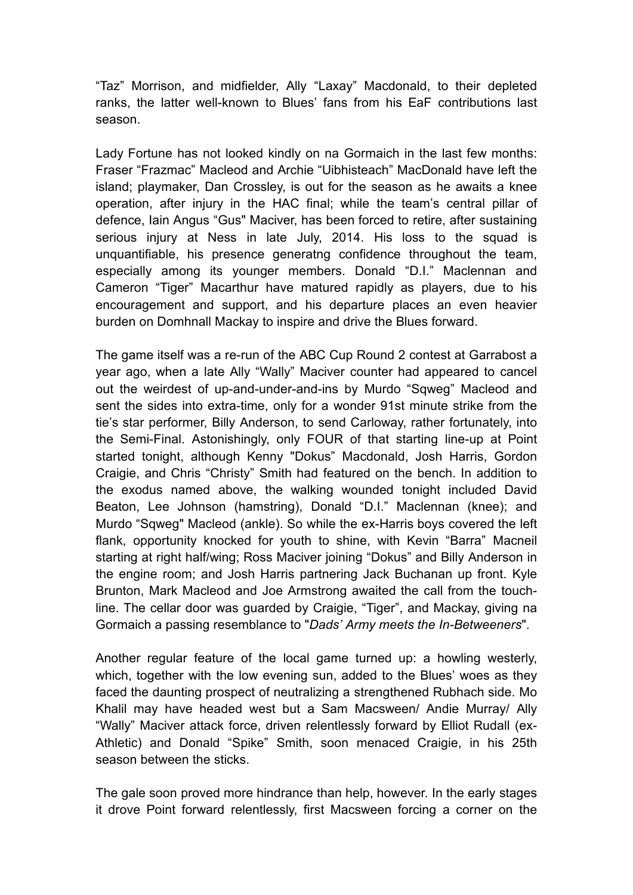"Taz" Morrison, and midfielder, Ally "Laxay" Macdonald, to their depleted ranks, the latter well-known to Blues' fans from his EaF contributions last season.

Lady Fortune has not looked kindly on na Gormaich in the last few months: Fraser "Frazmac" Macleod and Archie "Uibhisteach" MacDonald have left the island; playmaker, Dan Crossley, is out for the season as he awaits a knee operation, after injury in the HAC final; while the team's central pillar of defence, Iain Angus "Gus" Maciver, has been forced to retire, after sustaining serious injury at Ness in late July, 2014. His loss to the squad is unquantifiable, his presence generatng confidence throughout the team, especially among its younger members. Donald "D.I." Maclennan and Cameron "Tiger" Macarthur have matured rapidly as players, due to his encouragement and support, and his departure places an even heavier burden on Domhnall Mackay to inspire and drive the Blues forward.

The game itself was a re-run of the ABC Cup Round 2 contest at Garrabost a year ago, when a late Ally "Wally" Maciver counter had appeared to cancel out the weirdest of up-and-under-and-ins by Murdo "Sqweg" Macleod and sent the sides into extra-time, only for a wonder 91st minute strike from the tie's star performer, Billy Anderson, to send Carloway, rather fortunately, into the Semi-Final. Astonishingly, only FOUR of that starting line-up at Point started tonight, although Kenny "Dokus" Macdonald, Josh Harris, Gordon Craigie, and Chris "Christy" Smith had featured on the bench. In addition to the exodus named above, the walking wounded tonight included David Beaton, Lee Johnson (hamstring), Donald "D.I." Maclennan (knee); and Murdo "Sqweg" Macleod (ankle). So while the ex-Harris boys covered the left flank, opportunity knocked for youth to shine, with Kevin "Barra" Macneil starting at right half/wing; Ross Maciver joining "Dokus" and Billy Anderson in the engine room; and Josh Harris partnering Jack Buchanan up front. Kyle Brunton, Mark Macleod and Joe Armstrong awaited the call from the touchline. The cellar door was guarded by Craigie, "Tiger", and Mackay, giving na Gormaich a passing resemblance to "*Dads' Army meets the In-Betweeners*".

Another regular feature of the local game turned up: a howling westerly, which, together with the low evening sun, added to the Blues' woes as they faced the daunting prospect of neutralizing a strengthened Rubhach side. Mo Khalil may have headed west but a Sam Macsween/ Andie Murray/ Ally "Wally" Maciver attack force, driven relentlessly forward by Elliot Rudall (ex-Athletic) and Donald "Spike" Smith, soon menaced Craigie, in his 25th season between the sticks.

The gale soon proved more hindrance than help, however. In the early stages it drove Point forward relentlessly, first Macsween forcing a corner on the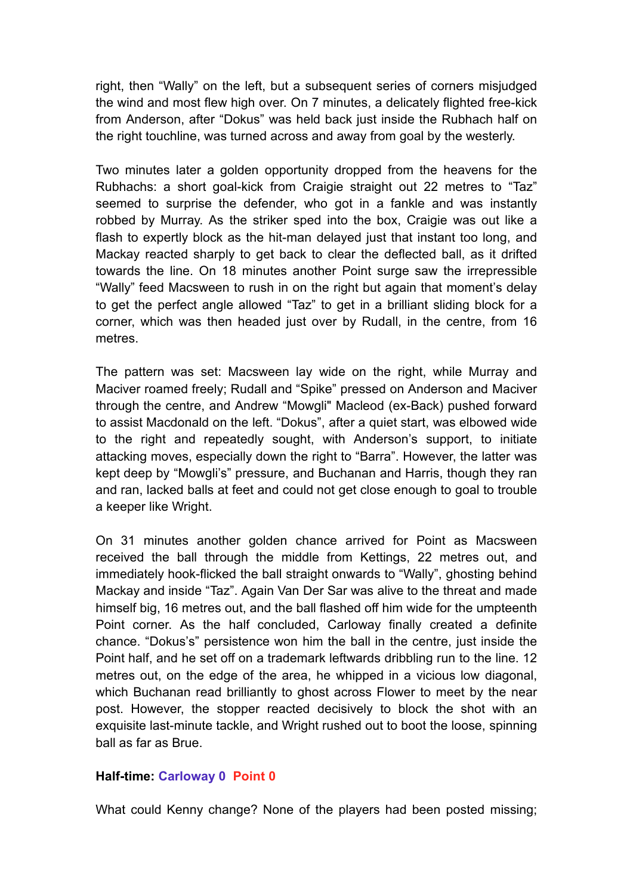right, then "Wally" on the left, but a subsequent series of corners misjudged the wind and most flew high over. On 7 minutes, a delicately flighted free-kick from Anderson, after "Dokus" was held back just inside the Rubhach half on the right touchline, was turned across and away from goal by the westerly.

Two minutes later a golden opportunity dropped from the heavens for the Rubhachs: a short goal-kick from Craigie straight out 22 metres to "Taz" seemed to surprise the defender, who got in a fankle and was instantly robbed by Murray. As the striker sped into the box, Craigie was out like a flash to expertly block as the hit-man delayed just that instant too long, and Mackay reacted sharply to get back to clear the deflected ball, as it drifted towards the line. On 18 minutes another Point surge saw the irrepressible "Wally" feed Macsween to rush in on the right but again that moment's delay to get the perfect angle allowed "Taz" to get in a brilliant sliding block for a corner, which was then headed just over by Rudall, in the centre, from 16 metres.

The pattern was set: Macsween lay wide on the right, while Murray and Maciver roamed freely; Rudall and "Spike" pressed on Anderson and Maciver through the centre, and Andrew "Mowgli" Macleod (ex-Back) pushed forward to assist Macdonald on the left. "Dokus", after a quiet start, was elbowed wide to the right and repeatedly sought, with Anderson's support, to initiate attacking moves, especially down the right to "Barra". However, the latter was kept deep by "Mowgli's" pressure, and Buchanan and Harris, though they ran and ran, lacked balls at feet and could not get close enough to goal to trouble a keeper like Wright.

On 31 minutes another golden chance arrived for Point as Macsween received the ball through the middle from Kettings, 22 metres out, and immediately hook-flicked the ball straight onwards to "Wally", ghosting behind Mackay and inside "Taz". Again Van Der Sar was alive to the threat and made himself big, 16 metres out, and the ball flashed off him wide for the umpteenth Point corner. As the half concluded, Carloway finally created a definite chance. "Dokus's" persistence won him the ball in the centre, just inside the Point half, and he set off on a trademark leftwards dribbling run to the line. 12 metres out, on the edge of the area, he whipped in a vicious low diagonal, which Buchanan read brilliantly to ghost across Flower to meet by the near post. However, the stopper reacted decisively to block the shot with an exquisite last-minute tackle, and Wright rushed out to boot the loose, spinning ball as far as Brue.

### **Half-time: Carloway 0 Point 0**

What could Kenny change? None of the players had been posted missing;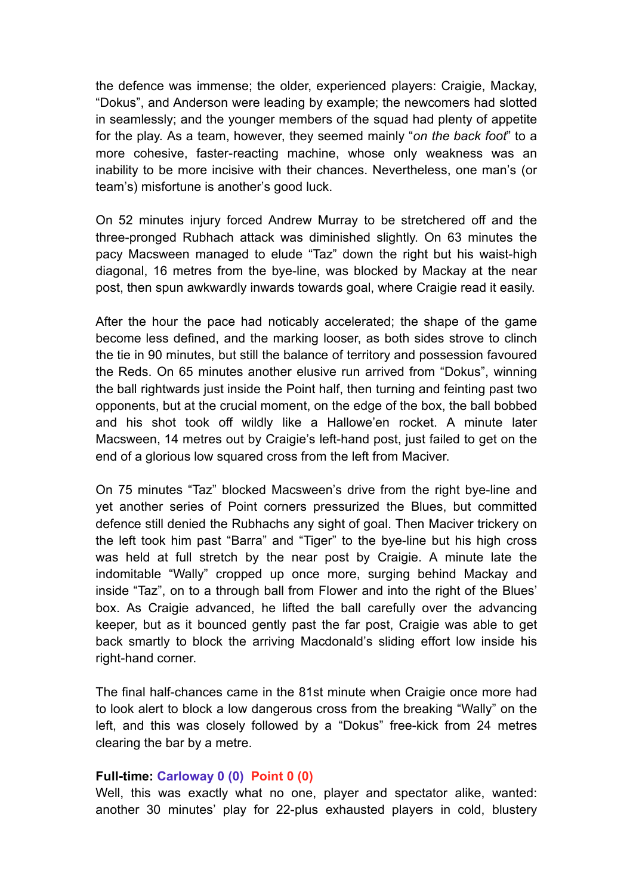the defence was immense; the older, experienced players: Craigie, Mackay, "Dokus", and Anderson were leading by example; the newcomers had slotted in seamlessly; and the younger members of the squad had plenty of appetite for the play. As a team, however, they seemed mainly "*on the back foot*" to a more cohesive, faster-reacting machine, whose only weakness was an inability to be more incisive with their chances. Nevertheless, one man's (or team's) misfortune is another's good luck.

On 52 minutes injury forced Andrew Murray to be stretchered off and the three-pronged Rubhach attack was diminished slightly. On 63 minutes the pacy Macsween managed to elude "Taz" down the right but his waist-high diagonal, 16 metres from the bye-line, was blocked by Mackay at the near post, then spun awkwardly inwards towards goal, where Craigie read it easily.

After the hour the pace had noticably accelerated; the shape of the game become less defined, and the marking looser, as both sides strove to clinch the tie in 90 minutes, but still the balance of territory and possession favoured the Reds. On 65 minutes another elusive run arrived from "Dokus", winning the ball rightwards just inside the Point half, then turning and feinting past two opponents, but at the crucial moment, on the edge of the box, the ball bobbed and his shot took off wildly like a Hallowe'en rocket. A minute later Macsween, 14 metres out by Craigie's left-hand post, just failed to get on the end of a glorious low squared cross from the left from Maciver.

On 75 minutes "Taz" blocked Macsween's drive from the right bye-line and yet another series of Point corners pressurized the Blues, but committed defence still denied the Rubhachs any sight of goal. Then Maciver trickery on the left took him past "Barra" and "Tiger" to the bye-line but his high cross was held at full stretch by the near post by Craigie. A minute late the indomitable "Wally" cropped up once more, surging behind Mackay and inside "Taz", on to a through ball from Flower and into the right of the Blues' box. As Craigie advanced, he lifted the ball carefully over the advancing keeper, but as it bounced gently past the far post, Craigie was able to get back smartly to block the arriving Macdonald's sliding effort low inside his right-hand corner.

The final half-chances came in the 81st minute when Craigie once more had to look alert to block a low dangerous cross from the breaking "Wally" on the left, and this was closely followed by a "Dokus" free-kick from 24 metres clearing the bar by a metre.

### **Full-time: Carloway 0 (0) Point 0 (0)**

Well, this was exactly what no one, player and spectator alike, wanted: another 30 minutes' play for 22-plus exhausted players in cold, blustery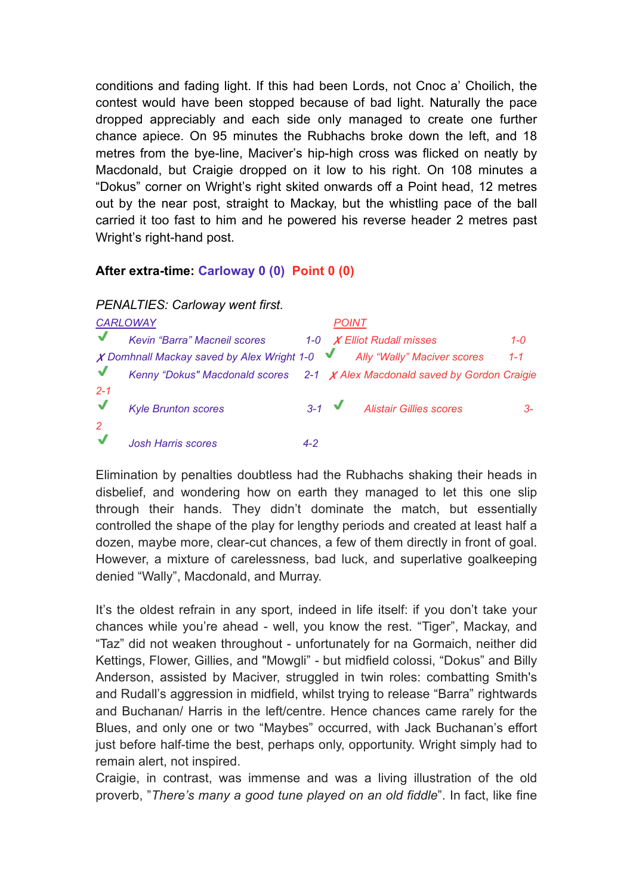conditions and fading light. If this had been Lords, not Cnoc a' Choilich, the contest would have been stopped because of bad light. Naturally the pace dropped appreciably and each side only managed to create one further chance apiece. On 95 minutes the Rubhachs broke down the left, and 18 metres from the bye-line, Maciver's hip-high cross was flicked on neatly by Macdonald, but Craigie dropped on it low to his right. On 108 minutes a "Dokus" corner on Wright's right skited onwards off a Point head, 12 metres out by the near post, straight to Mackay, but the whistling pace of the ball carried it too fast to him and he powered his reverse header 2 metres past Wright's right-hand post.

### **After extra-time: Carloway 0 (0) Point 0 (0)**

## *PENALTIES: Carloway went first.*

| <b>CARLOWAY</b>         |                                                                               | <b>POINT</b> |                  |                                   |         |
|-------------------------|-------------------------------------------------------------------------------|--------------|------------------|-----------------------------------|---------|
| √                       | Kevin "Barra" Macneil scores                                                  |              |                  | 1-0 <b>X</b> Elliot Rudall misses | $1 - 0$ |
|                         | X Domhnall Mackay saved by Alex Wright 1-0 Ally "Wally" Maciver scores        |              |                  |                                   | $1 - 1$ |
|                         | Kenny "Dokus" Macdonald scores $2-1$ X Alex Macdonald saved by Gordon Craigie |              |                  |                                   |         |
| $2 - 1$<br>$\checkmark$ | <b>Kyle Brunton scores</b>                                                    |              | $3-1$ $\sqrt{ }$ | <b>Alistair Gillies scores</b>    | $3-$    |
| 2                       | <b>Josh Harris scores</b>                                                     | $4 - 2$      |                  |                                   |         |

Elimination by penalties doubtless had the Rubhachs shaking their heads in disbelief, and wondering how on earth they managed to let this one slip through their hands. They didn't dominate the match, but essentially controlled the shape of the play for lengthy periods and created at least half a dozen, maybe more, clear-cut chances, a few of them directly in front of goal. However, a mixture of carelessness, bad luck, and superlative goalkeeping denied "Wally", Macdonald, and Murray.

It's the oldest refrain in any sport, indeed in life itself: if you don't take your chances while you're ahead - well, you know the rest. "Tiger", Mackay, and "Taz" did not weaken throughout - unfortunately for na Gormaich, neither did Kettings, Flower, Gillies, and "Mowgli" - but midfield colossi, "Dokus" and Billy Anderson, assisted by Maciver, struggled in twin roles: combatting Smith's and Rudall's aggression in midfield, whilst trying to release "Barra" rightwards and Buchanan/ Harris in the left/centre. Hence chances came rarely for the Blues, and only one or two "Maybes" occurred, with Jack Buchanan's effort just before half-time the best, perhaps only, opportunity. Wright simply had to remain alert, not inspired.

Craigie, in contrast, was immense and was a living illustration of the old proverb, "*There's many a good tune played on an old fiddle*". In fact, like fine